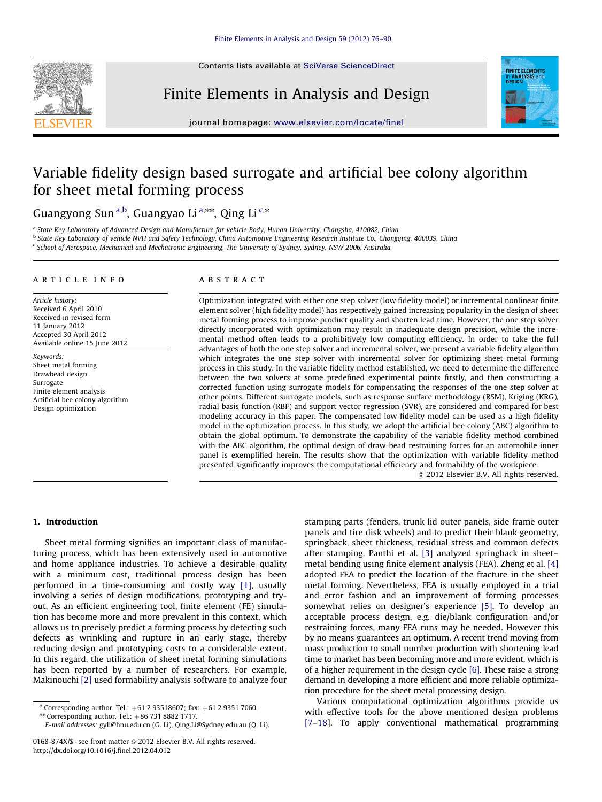Contents lists available at [SciVerse ScienceDirect](www.elsevier.com/locate/finel)

Finite Elements in Analysis and Design



journal homepage: <www.elsevier.com/locate/finel>

## Variable fidelity design based surrogate and artificial bee colony algorithm for sheet metal forming process

Guangyong Sun<sup>a,b</sup>, Guangyao Li<sup>a,</sup>\*\*, Qing Li<sup>c,\*</sup>

a State Key Laboratory of Advanced Design and Manufacture for vehicle Body, Hunan University, Changsha, 410082, China

b State Key Laboratory of vehicle NVH and Safety Technology, China Automotive Engineering Research Institute Co., Chongqing, 400039, China

 $c$  School of Aerospace, Mechanical and Mechatronic Engineering, The University of Sydney, Sydney, NSW 2006, Australia

#### article info

Article history: Received 6 April 2010 Received in revised form 11 January 2012 Accepted 30 April 2012 Available online 15 June 2012

Keywords: Sheet metal forming Drawbead design Surrogate Finite element analysis Artificial bee colony algorithm Design optimization

### **ABSTRACT**

Optimization integrated with either one step solver (low fidelity model) or incremental nonlinear finite element solver (high fidelity model) has respectively gained increasing popularity in the design of sheet metal forming process to improve product quality and shorten lead time. However, the one step solver directly incorporated with optimization may result in inadequate design precision, while the incremental method often leads to a prohibitively low computing efficiency. In order to take the full advantages of both the one step solver and incremental solver, we present a variable fidelity algorithm which integrates the one step solver with incremental solver for optimizing sheet metal forming process in this study. In the variable fidelity method established, we need to determine the difference between the two solvers at some predefined experimental points firstly, and then constructing a corrected function using surrogate models for compensating the responses of the one step solver at other points. Different surrogate models, such as response surface methodology (RSM), Kriging (KRG), radial basis function (RBF) and support vector regression (SVR), are considered and compared for best modeling accuracy in this paper. The compensated low fidelity model can be used as a high fidelity model in the optimization process. In this study, we adopt the artificial bee colony (ABC) algorithm to obtain the global optimum. To demonstrate the capability of the variable fidelity method combined with the ABC algorithm, the optimal design of draw-bead restraining forces for an automobile inner panel is exemplified herein. The results show that the optimization with variable fidelity method presented significantly improves the computational efficiency and formability of the workpiece.

 $\odot$  2012 Elsevier B.V. All rights reserved.

## 1. Introduction

Sheet metal forming signifies an important class of manufacturing process, which has been extensively used in automotive and home appliance industries. To achieve a desirable quality with a minimum cost, traditional process design has been performed in a time-consuming and costly way [\[1\],](#page--1-0) usually involving a series of design modifications, prototyping and tryout. As an efficient engineering tool, finite element (FE) simulation has become more and more prevalent in this context, which allows us to precisely predict a forming process by detecting such defects as wrinkling and rupture in an early stage, thereby reducing design and prototyping costs to a considerable extent. In this regard, the utilization of sheet metal forming simulations has been reported by a number of researchers. For example, Makinouchi [\[2\]](#page--1-0) used formability analysis software to analyze four stamping parts (fenders, trunk lid outer panels, side frame outer panels and tire disk wheels) and to predict their blank geometry, springback, sheet thickness, residual stress and common defects after stamping. Panthi et al. [\[3\]](#page--1-0) analyzed springback in sheet– metal bending using finite element analysis (FEA). Zheng et al. [\[4\]](#page--1-0) adopted FEA to predict the location of the fracture in the sheet metal forming. Nevertheless, FEA is usually employed in a trial and error fashion and an improvement of forming processes somewhat relies on designer's experience [\[5\]](#page--1-0). To develop an acceptable process design, e.g. die/blank configuration and/or restraining forces, many FEA runs may be needed. However this by no means guarantees an optimum. A recent trend moving from mass production to small number production with shortening lead time to market has been becoming more and more evident, which is of a higher requirement in the design cycle [\[6\].](#page--1-0) These raise a strong demand in developing a more efficient and more reliable optimization procedure for the sheet metal processing design.

Various computational optimization algorithms provide us with effective tools for the above mentioned design problems [\[7–18](#page--1-0)]. To apply conventional mathematical programming

 $*$  Corresponding author. Tel.:  $+61$  2 93518607; fax:  $+61$  2 9351 7060.

 $**$  Corresponding author. Tel.:  $+86$  731 8882 1717.

E-mail addresses: [gyli@hnu.edu.cn \(G. Li\),](mailto:gyli@hnu.edu.cn) [Qing.Li@Sydney.edu.au \(Q. Li\).](mailto:Qing.Li@Sydney.edu.au)

<sup>0168-874</sup>X/\$ - see front matter  $\circ$  2012 Elsevier B.V. All rights reserved. [http://dx.doi.org/10.1016/j.finel.2012.04.012](dx.doi.org/10.1016/j.finel.2012.04.012)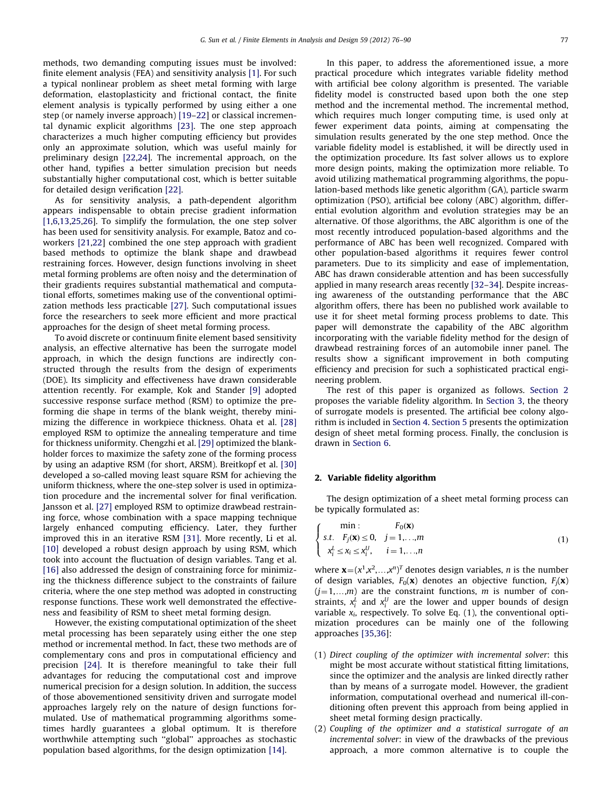methods, two demanding computing issues must be involved: finite element analysis (FEA) and sensitivity analysis [\[1\].](#page--1-0) For such a typical nonlinear problem as sheet metal forming with large deformation, elastoplasticity and frictional contact, the finite element analysis is typically performed by using either a one step (or namely inverse approach) [\[19–22\]](#page--1-0) or classical incremental dynamic explicit algorithms [\[23\]](#page--1-0). The one step approach characterizes a much higher computing efficiency but provides only an approximate solution, which was useful mainly for preliminary design [\[22,24\]](#page--1-0). The incremental approach, on the other hand, typifies a better simulation precision but needs substantially higher computational cost, which is better suitable for detailed design verification [\[22\]](#page--1-0).

As for sensitivity analysis, a path-dependent algorithm appears indispensable to obtain precise gradient information [\[1,6](#page--1-0),[13,25,26\]](#page--1-0). To simplify the formulation, the one step solver has been used for sensitivity analysis. For example, Batoz and coworkers [\[21,22](#page--1-0)] combined the one step approach with gradient based methods to optimize the blank shape and drawbead restraining forces. However, design functions involving in sheet metal forming problems are often noisy and the determination of their gradients requires substantial mathematical and computational efforts, sometimes making use of the conventional optimization methods less practicable [\[27\].](#page--1-0) Such computational issues force the researchers to seek more efficient and more practical approaches for the design of sheet metal forming process.

To avoid discrete or continuum finite element based sensitivity analysis, an effective alternative has been the surrogate model approach, in which the design functions are indirectly constructed through the results from the design of experiments (DOE). Its simplicity and effectiveness have drawn considerable attention recently. For example, Kok and Stander [\[9\]](#page--1-0) adopted successive response surface method (RSM) to optimize the preforming die shape in terms of the blank weight, thereby minimizing the difference in workpiece thickness. Ohata et al. [\[28\]](#page--1-0) employed RSM to optimize the annealing temperature and time for thickness uniformity. Chengzhi et al. [\[29\]](#page--1-0) optimized the blankholder forces to maximize the safety zone of the forming process by using an adaptive RSM (for short, ARSM). Breitkopf et al. [\[30\]](#page--1-0) developed a so-called moving least square RSM for achieving the uniform thickness, where the one-step solver is used in optimization procedure and the incremental solver for final verification. Jansson et al. [\[27\]](#page--1-0) employed RSM to optimize drawbead restraining force, whose combination with a space mapping technique largely enhanced computing efficiency. Later, they further improved this in an iterative RSM [\[31\]](#page--1-0). More recently, Li et al. [\[10\]](#page--1-0) developed a robust design approach by using RSM, which took into account the fluctuation of design variables. Tang et al. [\[16\]](#page--1-0) also addressed the design of constraining force for minimizing the thickness difference subject to the constraints of failure criteria, where the one step method was adopted in constructing response functions. These work well demonstrated the effectiveness and feasibility of RSM to sheet metal forming design.

However, the existing computational optimization of the sheet metal processing has been separately using either the one step method or incremental method. In fact, these two methods are of complementary cons and pros in computational efficiency and precision [\[24\].](#page--1-0) It is therefore meaningful to take their full advantages for reducing the computational cost and improve numerical precision for a design solution. In addition, the success of those abovementioned sensitivity driven and surrogate model approaches largely rely on the nature of design functions formulated. Use of mathematical programming algorithms sometimes hardly guarantees a global optimum. It is therefore worthwhile attempting such ''global'' approaches as stochastic population based algorithms, for the design optimization [\[14\].](#page--1-0)

In this paper, to address the aforementioned issue, a more practical procedure which integrates variable fidelity method with artificial bee colony algorithm is presented. The variable fidelity model is constructed based upon both the one step method and the incremental method. The incremental method, which requires much longer computing time, is used only at fewer experiment data points, aiming at compensating the simulation results generated by the one step method. Once the variable fidelity model is established, it will be directly used in the optimization procedure. Its fast solver allows us to explore more design points, making the optimization more reliable. To avoid utilizing mathematical programming algorithms, the population-based methods like genetic algorithm (GA), particle swarm optimization (PSO), artificial bee colony (ABC) algorithm, differential evolution algorithm and evolution strategies may be an alternative. Of those algorithms, the ABC algorithm is one of the most recently introduced population-based algorithms and the performance of ABC has been well recognized. Compared with other population-based algorithms it requires fewer control parameters. Due to its simplicity and ease of implementation, ABC has drawn considerable attention and has been successfully applied in many research areas recently [\[32](#page--1-0)–[34\]](#page--1-0). Despite increasing awareness of the outstanding performance that the ABC algorithm offers, there has been no published work available to use it for sheet metal forming process problems to date. This paper will demonstrate the capability of the ABC algorithm incorporating with the variable fidelity method for the design of drawbead restraining forces of an automobile inner panel. The results show a significant improvement in both computing efficiency and precision for such a sophisticated practical engineering problem.

The rest of this paper is organized as follows. Section 2 proposes the variable fidelity algorithm. In [Section 3](#page--1-0), the theory of surrogate models is presented. The artificial bee colony algorithm is included in [Section 4](#page--1-0). [Section 5](#page--1-0) presents the optimization design of sheet metal forming process. Finally, the conclusion is drawn in [Section 6.](#page--1-0)

## 2. Variable fidelity algorithm

The design optimization of a sheet metal forming process can be typically formulated as:

$$
\begin{cases}\n\min: & F_0(\mathbf{x}) \\
s.t. & F_j(\mathbf{x}) \le 0, \quad j = 1, \dots, m \\
x_i^L \le x_i \le x_i^U, & i = 1, \dots, n\n\end{cases}
$$
\n(1)

where  $\mathbf{x} = (x^1, x^2, \dots, x^n)^T$  denotes design variables, *n* is the number of design variables,  $F_0(\mathbf{x})$  denotes an objective function,  $F_i(\mathbf{x})$  $(j=1,...,m)$  are the constraint functions, m is number of constraints,  $x_i^L$  and  $x_i^U$  are the lower and upper bounds of design variable  $x_i$ , respectively. To solve Eq. (1), the conventional optimization procedures can be mainly one of the following approaches [\[35,36\]](#page--1-0):

- (1) Direct coupling of the optimizer with incremental solver: this might be most accurate without statistical fitting limitations, since the optimizer and the analysis are linked directly rather than by means of a surrogate model. However, the gradient information, computational overhead and numerical ill-conditioning often prevent this approach from being applied in sheet metal forming design practically.
- (2) Coupling of the optimizer and a statistical surrogate of an incremental solver: in view of the drawbacks of the previous approach, a more common alternative is to couple the